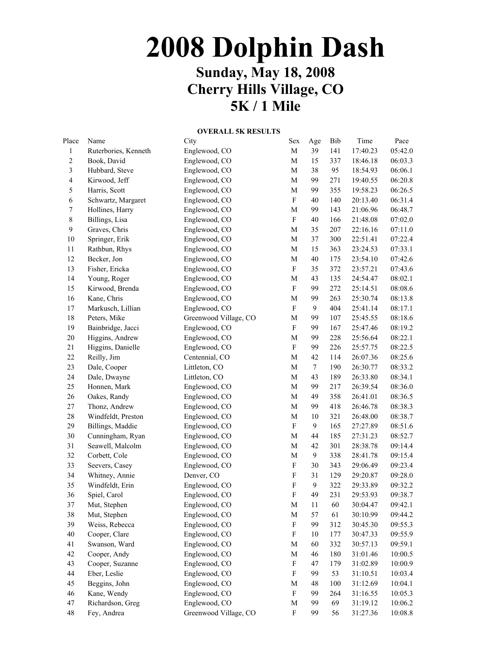## **2008 Dolphin Dash Sunday, May 18, 2008 Cherry Hills Village, CO 5K / 1 Mile**

## **OVERALL 5K RESULTS**

| Place                   | Name                 | City                  | Sex                       | Age              | Bib | Time     | Pace    |
|-------------------------|----------------------|-----------------------|---------------------------|------------------|-----|----------|---------|
| $\mathbf{1}$            | Ruterbories, Kenneth | Englewood, CO         | $\mathbf M$               | 39               | 141 | 17:40.23 | 05:42.0 |
| $\sqrt{2}$              | Book, David          | Englewood, CO         | $\mathbf M$               | 15               | 337 | 18:46.18 | 06:03.3 |
| 3                       | Hubbard, Steve       | Englewood, CO         | $\mathbf M$               | 38               | 95  | 18:54.93 | 06:06.1 |
| $\overline{\mathbf{4}}$ | Kirwood, Jeff        | Englewood, CO         | $\mathbf M$               | 99               | 271 | 19:40.55 | 06:20.8 |
| $\sqrt{5}$              | Harris, Scott        | Englewood, CO         | $\mathbf M$               | 99               | 355 | 19:58.23 | 06:26.5 |
| $\epsilon$              | Schwartz, Margaret   | Englewood, CO         | $\mathbf F$               | 40               | 140 | 20:13.40 | 06:31.4 |
| $\boldsymbol{7}$        | Hollines, Harry      | Englewood, CO         | $\mathbf M$               | 99               | 143 | 21:06.96 | 06:48.7 |
| $\,$ $\,$               | Billings, Lisa       | Englewood, CO         | $\mathbf F$               | 40               | 166 | 21:48.08 | 07:02.0 |
| 9                       | Graves, Chris        | Englewood, CO         | $\mathbf M$               | 35               | 207 | 22:16.16 | 07:11.0 |
| $10\,$                  | Springer, Erik       | Englewood, CO         | $\mathbf M$               | 37               | 300 | 22:51.41 | 07:22.4 |
| $11\,$                  | Rathbun, Rhys        | Englewood, CO         | $\mathbf M$               | 15               | 363 | 23:24.53 | 07:33.1 |
| $12\,$                  | Becker, Jon          | Englewood, CO         | $\mathbf M$               | 40               | 175 | 23:54.10 | 07:42.6 |
| 13                      | Fisher, Ericka       | Englewood, CO         | ${\bf F}$                 | 35               | 372 | 23:57.21 | 07:43.6 |
| 14                      | Young, Roger         | Englewood, CO         | $\mathbf M$               | 43               | 135 | 24:54.47 | 08:02.1 |
| 15                      | Kirwood, Brenda      | Englewood, CO         | $\mathbf F$               | 99               | 272 | 25:14.51 | 08:08.6 |
| 16                      | Kane, Chris          | Englewood, CO         | $\mathbf M$               | 99               | 263 | 25:30.74 | 08:13.8 |
| $17\,$                  | Markusch, Lillian    | Englewood, CO         | $\mathbf F$               | $\mathbf{9}$     | 404 | 25:41.14 | 08:17.1 |
| $18\,$                  | Peters, Mike         | Greenwood Village, CO | $\mathbf M$               | 99               | 107 | 25:45.55 | 08:18.6 |
| 19                      | Bainbridge, Jacci    | Englewood, CO         | $\mathbf F$               | 99               | 167 | 25:47.46 | 08:19.2 |
| $20\,$                  | Higgins, Andrew      | Englewood, CO         | $\mathbf M$               | 99               | 228 | 25:56.64 | 08:22.1 |
| 21                      | Higgins, Danielle    | Englewood, CO         | $\mathbf F$               | 99               | 226 | 25:57.75 | 08:22.5 |
| 22                      | Reilly, Jim          | Centennial, CO        | $\mathbf M$               | 42               | 114 | 26:07.36 | 08:25.6 |
| 23                      | Dale, Cooper         | Littleton, CO         | $\mathbf M$               | $\boldsymbol{7}$ | 190 | 26:30.77 | 08:33.2 |
| 24                      | Dale, Dwayne         | Littleton, CO         | $\mathbf M$               | 43               | 189 | 26:33.80 | 08:34.1 |
| 25                      | Honnen, Mark         | Englewood, CO         | $\mathbf M$               | 99               | 217 | 26:39.54 | 08:36.0 |
| 26                      | Oakes, Randy         | Englewood, CO         | $\mathbf M$               | 49               | 358 | 26:41.01 | 08:36.5 |
| 27                      | Thonz, Andrew        | Englewood, CO         | $\mathbf M$               | 99               | 418 | 26:46.78 | 08:38.3 |
| 28                      | Windfeldt, Preston   | Englewood, CO         | $\mathbf M$               | $10\,$           | 321 | 26:48.00 | 08:38.7 |
| 29                      | Billings, Maddie     | Englewood, CO         | $\mathbf F$               | $\mathbf{9}$     | 165 | 27:27.89 | 08:51.6 |
| $30\,$                  | Cunningham, Ryan     | Englewood, CO         | $\mathbf M$               | 44               | 185 | 27:31.23 | 08:52.7 |
| 31                      | Seawell, Malcolm     | Englewood, CO         | $\mathbf M$               | 42               | 301 | 28:38.78 | 09:14.4 |
| 32                      | Corbett, Cole        | Englewood, CO         | $\mathbf M$               | $\boldsymbol{9}$ | 338 | 28:41.78 | 09:15.4 |
| 33                      | Seevers, Casey       | Englewood, CO         | ${\bf F}$                 | 30               | 343 | 29:06.49 | 09:23.4 |
| 34                      | Whitney, Annie       | Denver, CO            | $\mathbf F$               | 31               | 129 | 29:20.87 | 09:28.0 |
| 35                      | Windfeldt, Erin      | Englewood, CO         | $\mathbf F$               | $\mathbf{9}$     | 322 | 29:33.89 | 09:32.2 |
| 36                      | Spiel, Carol         | Englewood, CO         | $\overline{\mathrm{F}}$   | 49               | 231 | 29:53.93 | 09:38.7 |
| 37                      | Mut, Stephen         | Englewood, CO         | M                         | 11               | 60  | 30:04.47 | 09:42.1 |
| 38                      | Mut, Stephen         | Englewood, CO         | M                         | 57               | 61  | 30:10.99 | 09:44.2 |
| 39                      | Weiss, Rebecca       | Englewood, CO         | $\mathbf F$               | 99               | 312 | 30:45.30 | 09:55.3 |
| 40                      | Cooper, Clare        | Englewood, CO         | $\boldsymbol{\mathrm{F}}$ | $10\,$           | 177 | 30:47.33 | 09:55.9 |
| 41                      | Swanson, Ward        | Englewood, CO         | $\mathbf M$               | 60               | 332 | 30:57.13 | 09:59.1 |
| 42                      | Cooper, Andy         | Englewood, CO         | $\mathbf M$               | 46               | 180 | 31:01.46 | 10:00.5 |
| 43                      | Cooper, Suzanne      | Englewood, CO         | $\boldsymbol{\mathrm{F}}$ | 47               | 179 | 31:02.89 | 10:00.9 |
| 44                      | Eber, Leslie         | Englewood, CO         | $\boldsymbol{\mathrm{F}}$ | 99               | 53  | 31:10.51 | 10:03.4 |
| 45                      | Beggins, John        | Englewood, CO         | M                         | 48               | 100 | 31:12.69 | 10:04.1 |
| 46                      | Kane, Wendy          | Englewood, CO         | $\boldsymbol{\mathrm{F}}$ | 99               | 264 | 31:16.55 | 10:05.3 |
| 47                      | Richardson, Greg     | Englewood, CO         | M                         | 99               | 69  | 31:19.12 | 10:06.2 |
| 48                      | Fey, Andrea          | Greenwood Village, CO | $\boldsymbol{\mathrm{F}}$ | 99               | 56  | 31:27.36 | 10:08.8 |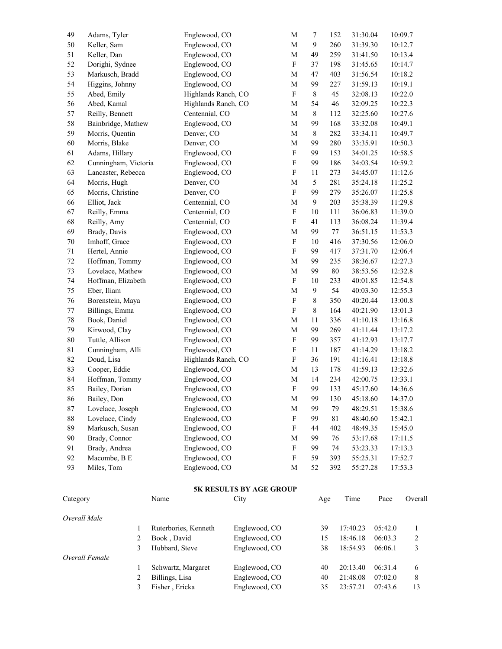| 49          | Adams, Tyler            | Englewood, CO        |                                        | M                         | $\tau$       | 31:30.04<br>152    |         | 10:09.7          |
|-------------|-------------------------|----------------------|----------------------------------------|---------------------------|--------------|--------------------|---------|------------------|
| 50          | Keller, Sam             | Englewood, CO        |                                        | $\mathbf M$               | $\mathbf{9}$ | 31:39.30<br>260    |         | 10:12.7          |
| 51          | Keller, Dan             | Englewood, CO        |                                        | $\mathbf M$               | 49           | 259<br>31:41.50    |         | 10:13.4          |
| 52          | Dorighi, Sydnee         | Englewood, CO        |                                        | $\boldsymbol{F}$          | 37           | 198<br>31:45.65    |         | 10:14.7          |
| 53          | Markusch, Bradd         | Englewood, CO        |                                        | M                         | 47           | 403<br>31:56.54    |         | 10:18.2          |
| 54          | Higgins, Johnny         | Englewood, CO        |                                        | M                         | 99           | 227<br>31:59.13    |         | 10:19.1          |
| 55          | Abed, Emily             | Highlands Ranch, CO  |                                        | $\boldsymbol{F}$          | 8            | 45<br>32:08.13     |         | 10:22.0          |
| 56          | Abed, Kamal             | Highlands Ranch, CO  |                                        | M                         | 54           | 46<br>32:09.25     |         | 10:22.3          |
| 57          | Reilly, Bennett         | Centennial, CO       |                                        | M                         | 8            | 112<br>32:25.60    |         | 10:27.6          |
| 58          | Bainbridge, Mathew      | Englewood, CO        |                                        | M                         | 99           | 168<br>33:32.08    |         | 10:49.1          |
| 59          | Morris, Quentin         | Denver, CO           |                                        | M                         | 8            | 282<br>33:34.11    |         | 10:49.7          |
| 60          | Morris, Blake           | Denver, CO           |                                        | M                         | 99           | 280<br>33:35.91    |         | 10:50.3          |
| 61          | Adams, Hillary          | Englewood, CO        |                                        | $\boldsymbol{F}$          | 99           | 153<br>34:01.25    |         | 10:58.5          |
| 62          | Cunningham, Victoria    | Englewood, CO        |                                        | $\boldsymbol{\mathrm{F}}$ | 99           | 186<br>34:03.54    |         | 10:59.2          |
| 63          | Lancaster, Rebecca      | Englewood, CO        |                                        | $\boldsymbol{\mathrm{F}}$ | 11           | 273<br>34:45.07    |         | 11:12.6          |
| 64          | Morris, Hugh            | Denver, CO           |                                        | M                         | 5            | 281<br>35:24.18    |         | 11:25.2          |
| 65          | Morris, Christine       | Denver, CO           |                                        | $\boldsymbol{F}$          | 99           | 279<br>35:26.07    |         | 11:25.8          |
| 66          | Elliot, Jack            | Centennial, CO       |                                        | M                         | 9            | 203<br>35:38.39    |         | 11:29.8          |
| 67          | Reilly, Emma            | Centennial, CO       |                                        | $\boldsymbol{F}$          | 10           | 111<br>36:06.83    |         | 11:39.0          |
| 68          | Reilly, Amy             | Centennial, CO       |                                        | $\boldsymbol{\mathrm{F}}$ | 41           | 113<br>36:08.24    |         | 11:39.4          |
| 69          | Brady, Davis            | Englewood, CO        |                                        | M                         | 99           | 77<br>36:51.15     |         | 11:53.3          |
| 70          | Imhoff, Grace           | Englewood, CO        |                                        | $\boldsymbol{F}$          | 10           | 416<br>37:30.56    |         | 12:06.0          |
| 71          | Hertel, Annie           | Englewood, CO        |                                        | $\boldsymbol{\mathrm{F}}$ | 99           | 417<br>37:31.70    |         | 12:06.4          |
| $72\,$      | Hoffman, Tommy          | Englewood, CO        |                                        | M                         | 99           | 235<br>38:36.67    |         | 12:27.3          |
| 73          | Lovelace, Mathew        | Englewood, CO        |                                        | M                         | 99           | $80\,$<br>38:53.56 |         | 12:32.8          |
| 74          | Hoffman, Elizabeth      | Englewood, CO        |                                        | $\boldsymbol{F}$          | 10           | 233<br>40:01.85    |         | 12:54.8          |
| 75          | Eber, Iliam             | Englewood, CO        |                                        | M                         | 9            | 54<br>40:03.30     |         | 12:55.3          |
| 76          | Borenstein, Maya        | Englewood, CO        |                                        | $\boldsymbol{F}$          | $\,8\,$      | 350<br>40:20.44    |         | 13:00.8          |
| $77 \,$     | Billings, Emma          | Englewood, CO        |                                        | $\boldsymbol{\mathrm{F}}$ | $\,8\,$      | 164<br>40:21.90    |         | 13:01.3          |
| $78\,$      | Book, Daniel            | Englewood, CO        |                                        | M                         | 11           | 336<br>41:10.18    |         | 13:16.8          |
| 79          | Kirwood, Clay           | Englewood, CO        |                                        | M                         | 99           | 269<br>41:11.44    |         | 13:17.2          |
| $80\,$      | Tuttle, Allison         | Englewood, CO        |                                        | $\boldsymbol{F}$          | 99           | 357<br>41:12.93    |         | 13:17.7          |
| $8\sqrt{1}$ | Cunningham, Alli        | Englewood, CO        |                                        | $\boldsymbol{\mathrm{F}}$ | 11           | 187<br>41:14.29    |         | 13:18.2          |
| 82          | Doud, Lisa              | Highlands Ranch, CO  |                                        | $\boldsymbol{\mathrm{F}}$ | 36           | 191<br>41:16.41    |         | 13:18.8          |
| 83          | Cooper, Eddie           | Englewood, CO        |                                        | M                         | 13           | 178<br>41:59.13    |         | 13:32.6          |
| 84          | Hoffman, Tommy          | Englewood, CO        |                                        | M                         | 14           | 234<br>42:00.75    |         | 13:33.1          |
| 85          | Bailey, Dorian          | Englewood, CO        |                                        | $\mathbf F$               | 99           | 133<br>45:17.60    |         | 14:36.6          |
| 86          | Bailey, Don             | Englewood, CO        |                                        | М                         | 99           | 130<br>45:18.60    |         | 14:37.0          |
| 87          | Lovelace, Joseph        | Englewood, CO        |                                        | M                         | 99           | 79<br>48:29.51     |         | 15:38.6          |
| 88          | Lovelace, Cindy         | Englewood, CO        |                                        | $\boldsymbol{\mathrm{F}}$ | 99           | 81<br>48:40.60     |         | 15:42.1          |
| 89          | Markusch, Susan         | Englewood, CO        |                                        | F                         | 44           | 402<br>48:49.35    |         | 15:45.0          |
| 90          | Brady, Connor           | Englewood, CO        |                                        | M                         | 99           | 76<br>53:17.68     |         | 17:11.5          |
| 91          | Brady, Andrea           | Englewood, CO        |                                        | $\boldsymbol{\mathrm{F}}$ | 99           | 74<br>53:23.33     |         | 17:13.3          |
| 92          | Macombe, B E            | Englewood, CO        |                                        | F                         | 59           | 393<br>55:25.31    |         | 17:52.7          |
| 93          | Miles, Tom              | Englewood, CO        |                                        | M                         | 52           | 392<br>55:27.28    |         | 17:53.3          |
|             |                         |                      |                                        |                           |              |                    |         |                  |
|             |                         |                      |                                        |                           |              |                    |         |                  |
| Category    |                         | Name                 | <b>5K RESULTS BY AGE GROUP</b><br>City |                           | Age          | Time               | Pace    | Overall          |
|             |                         |                      |                                        |                           |              |                    |         |                  |
|             | Overall Male            |                      |                                        |                           |              |                    |         |                  |
|             | 1                       | Ruterbories, Kenneth | Englewood, CO                          |                           | 39           | 17:40.23           | 05:42.0 | 1                |
|             | $\overline{\mathbf{c}}$ | Book, David          | Englewood, CO                          |                           | 15           | 18:46.18           | 06:03.3 | $\boldsymbol{2}$ |
|             | 3                       | Hubbard, Steve       | Englewood, CO                          |                           | 38           | 18:54.93           | 06:06.1 | 3                |
|             | Overall Female          |                      |                                        |                           |              |                    |         |                  |
|             | 1                       | Schwartz, Margaret   | Englewood, CO                          |                           | 40           | 20:13.40           | 06:31.4 | 6                |
|             | $\overline{\mathbf{c}}$ | Billings, Lisa       | Englewood, CO                          |                           | 40           | 21:48.08           | 07:02.0 | $\,8\,$          |
|             | 3                       | Fisher, Ericka       | Englewood, CO                          |                           | 35           | 23:57.21           | 07:43.6 | 13               |
|             |                         |                      |                                        |                           |              |                    |         |                  |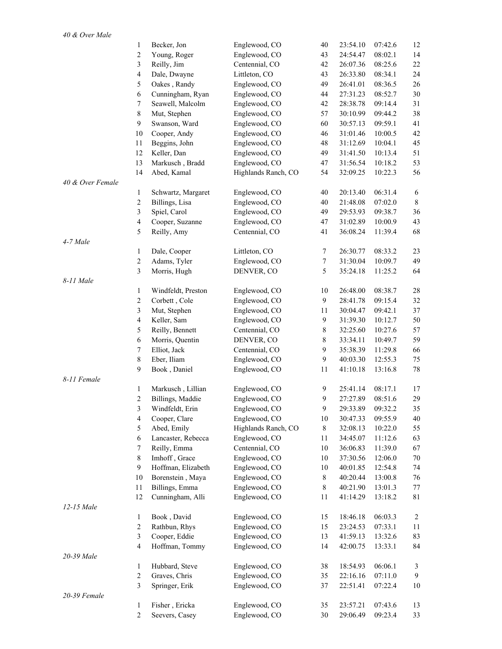|                  | 1                | Becker, Jon        | Englewood, CO       | 40               | 23:54.10 | 07:42.6 | 12             |
|------------------|------------------|--------------------|---------------------|------------------|----------|---------|----------------|
|                  | $\overline{c}$   | Young, Roger       | Englewood, CO       | 43               | 24:54.47 | 08:02.1 | 14             |
|                  | 3                | Reilly, Jim        | Centennial, CO      | 42               | 26:07.36 | 08:25.6 | 22             |
|                  | $\overline{4}$   | Dale, Dwayne       | Littleton, CO       | 43               | 26:33.80 | 08:34.1 | 24             |
|                  | 5                | Oakes, Randy       | Englewood, CO       | 49               | 26:41.01 | 08:36.5 | 26             |
|                  | $\epsilon$       | Cunningham, Ryan   | Englewood, CO       | 44               | 27:31.23 | 08:52.7 | 30             |
|                  | $\boldsymbol{7}$ | Seawell, Malcolm   | Englewood, CO       | 42               | 28:38.78 | 09:14.4 | 31             |
|                  | $\,8\,$          | Mut, Stephen       | Englewood, CO       | 57               | 30:10.99 | 09:44.2 | 38             |
|                  | 9                | Swanson, Ward      | Englewood, CO       | 60               | 30:57.13 | 09:59.1 | 41             |
|                  | $10\,$           | Cooper, Andy       | Englewood, CO       | 46               | 31:01.46 | 10:00.5 | 42             |
|                  | 11               | Beggins, John      | Englewood, CO       | 48               | 31:12.69 | 10:04.1 | 45             |
|                  | 12               | Keller, Dan        | Englewood, CO       | 49               | 31:41.50 | 10:13.4 | 51             |
|                  | 13               | Markusch, Bradd    | Englewood, CO       | 47               | 31:56.54 | 10:18.2 | 53             |
|                  | 14               | Abed, Kamal        | Highlands Ranch, CO | 54               | 32:09.25 | 10:22.3 | 56             |
| 40 & Over Female |                  |                    |                     |                  |          |         |                |
|                  | $\mathbf{1}$     | Schwartz, Margaret | Englewood, CO       | 40               | 20:13.40 | 06:31.4 | 6              |
|                  | $\overline{c}$   | Billings, Lisa     | Englewood, CO       | 40               | 21:48.08 | 07:02.0 | 8              |
|                  | 3                | Spiel, Carol       | Englewood, CO       | 49               | 29:53.93 | 09:38.7 | 36             |
|                  | $\overline{4}$   | Cooper, Suzanne    | Englewood, CO       | 47               | 31:02.89 | 10:00.9 | 43             |
|                  | 5                |                    |                     | 41               |          |         | 68             |
| 4-7 Male         |                  | Reilly, Amy        | Centennial, CO      |                  | 36:08.24 | 11:39.4 |                |
|                  | $\mathbf{1}$     | Dale, Cooper       | Littleton, CO       | $\tau$           | 26:30.77 | 08:33.2 | 23             |
|                  | $\sqrt{2}$       | Adams, Tyler       | Englewood, CO       | $\boldsymbol{7}$ | 31:30.04 | 10:09.7 | 49             |
|                  | $\mathfrak{Z}$   |                    | DENVER, CO          | 5                | 35:24.18 | 11:25.2 | 64             |
| 8-11 Male        |                  | Morris, Hugh       |                     |                  |          |         |                |
|                  | $\mathbf{1}$     | Windfeldt, Preston | Englewood, CO       | 10               | 26:48.00 | 08:38.7 | 28             |
|                  | $\sqrt{2}$       | Corbett, Cole      | Englewood, CO       | 9                | 28:41.78 | 09:15.4 | 32             |
|                  | $\mathfrak{Z}$   | Mut, Stephen       | Englewood, CO       | 11               | 30:04.47 | 09:42.1 | 37             |
|                  | $\overline{4}$   |                    |                     | 9                |          |         | 50             |
|                  |                  | Keller, Sam        | Englewood, CO       |                  | 31:39.30 | 10:12.7 |                |
|                  | 5                | Reilly, Bennett    | Centennial, CO      | $\,$ 8 $\,$      | 32:25.60 | 10:27.6 | 57             |
|                  | $\epsilon$       | Morris, Quentin    | DENVER, CO          | 8                | 33:34.11 | 10:49.7 | 59             |
|                  | $\boldsymbol{7}$ | Elliot, Jack       | Centennial, CO      | 9                | 35:38.39 | 11:29.8 | 66             |
|                  | $\,8\,$          | Eber, Iliam        | Englewood, CO       | 9                | 40:03.30 | 12:55.3 | 75             |
|                  | 9                | Book, Daniel       | Englewood, CO       | 11               | 41:10.18 | 13:16.8 | 78             |
| 8-11 Female      |                  |                    |                     |                  |          |         |                |
|                  | $\mathbf{1}$     | Markusch, Lillian  | Englewood, CO       | 9                | 25:41.14 | 08:17.1 | 17             |
|                  | $\overline{c}$   | Billings, Maddie   | Englewood, CO       | 9                | 27:27.89 | 08:51.6 | 29             |
|                  | 3                | Windfeldt, Erin    | Englewood, CO       | 9                | 29:33.89 | 09:32.2 | 35             |
|                  | $\overline{4}$   | Cooper, Clare      | Englewood, CO       | 10               | 30:47.33 | 09:55.9 | 40             |
|                  | 5                | Abed, Emily        | Highlands Ranch, CO | $8\,$            | 32:08.13 | 10:22.0 | 55             |
|                  | 6                | Lancaster, Rebecca | Englewood, CO       | 11               | 34:45.07 | 11:12.6 | 63             |
|                  | 7                | Reilly, Emma       | Centennial, CO      | $10\,$           | 36:06.83 | 11:39.0 | 67             |
|                  | $8\,$            | Imhoff, Grace      | Englewood, CO       | $10\,$           | 37:30.56 | 12:06.0 | 70             |
|                  | 9                | Hoffman, Elizabeth | Englewood, CO       | 10               | 40:01.85 | 12:54.8 | 74             |
|                  | 10               | Borenstein, Maya   | Englewood, CO       | $8\,$            | 40:20.44 | 13:00.8 | 76             |
|                  | 11               | Billings, Emma     | Englewood, CO       | $8\,$            | 40:21.90 | 13:01.3 | 77             |
|                  | 12               | Cunningham, Alli   | Englewood, CO       | 11               | 41:14.29 | 13:18.2 | 81             |
| 12-15 Male       |                  |                    |                     |                  |          |         |                |
|                  | $\mathbf{1}$     | Book, David        | Englewood, CO       | 15               | 18:46.18 | 06:03.3 | $\overline{c}$ |
|                  | $\overline{c}$   | Rathbun, Rhys      | Englewood, CO       | 15               | 23:24.53 | 07:33.1 | 11             |
|                  | $\mathfrak{Z}$   | Cooper, Eddie      | Englewood, CO       | 13               | 41:59.13 | 13:32.6 | 83             |
|                  | $\overline{4}$   | Hoffman, Tommy     | Englewood, CO       | 14               | 42:00.75 | 13:33.1 | 84             |
| 20-39 Male       |                  |                    |                     |                  |          |         |                |
|                  | 1                | Hubbard, Steve     | Englewood, CO       | 38               | 18:54.93 | 06:06.1 | 3              |
|                  | 2                | Graves, Chris      | Englewood, CO       | 35               | 22:16.16 | 07:11.0 | 9              |
|                  | 3                | Springer, Erik     | Englewood, CO       | 37               | 22:51.41 | 07:22.4 | 10             |
| 20-39 Female     |                  |                    |                     |                  |          |         |                |
|                  | 1                | Fisher, Ericka     | Englewood, CO       | 35               | 23:57.21 | 07:43.6 | 13             |
|                  | $\overline{c}$   | Seevers, Casey     | Englewood, CO       | $30\,$           | 29:06.49 | 09:23.4 | 33             |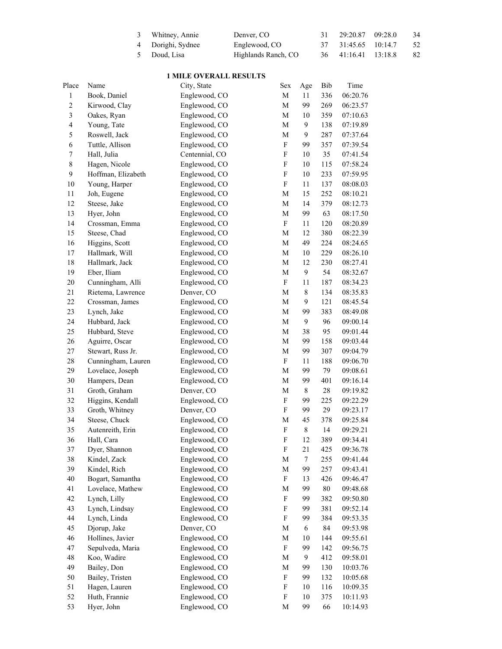| 3 Whitney, Annie  | Denver, CO          | 29:20.87            | 09:28.0 | 34 |
|-------------------|---------------------|---------------------|---------|----|
| 4 Dorighi, Sydnee | Englewood, CO       | 37 31:45.65 10:14.7 |         | 52 |
| 5 Doud. Lisa      | Highlands Ranch, CO | 36 41:16.41 13:18.8 |         | 82 |

## **1 MILE OVERALL RESULTS**

| Place                   | Name               | City, State    | Sex                       | Age         | Bib    | Time     |
|-------------------------|--------------------|----------------|---------------------------|-------------|--------|----------|
| $\,1$                   | Book, Daniel       | Englewood, CO  | M                         | 11          | 336    | 06:20.76 |
| $\overline{c}$          | Kirwood, Clay      | Englewood, CO  | M                         | 99          | 269    | 06:23.57 |
| $\mathfrak{Z}$          | Oakes, Ryan        | Englewood, CO  | M                         | 10          | 359    | 07:10.63 |
| $\overline{\mathbf{4}}$ | Young, Tate        | Englewood, CO  | M                         | 9           | 138    | 07:19.89 |
| 5                       | Roswell, Jack      | Englewood, CO  | M                         | 9           | 287    | 07:37.64 |
| 6                       | Tuttle, Allison    | Englewood, CO  | ${\bf F}$                 | 99          | 357    | 07:39.54 |
| $\boldsymbol{7}$        | Hall, Julia        | Centennial, CO | $\mathbf F$               | 10          | 35     | 07:41.54 |
| $\,$ $\,$               | Hagen, Nicole      | Englewood, CO  | $\mathbf F$               | $10\,$      | 115    | 07:58.24 |
| 9                       | Hoffman, Elizabeth | Englewood, CO  | $\mathbf F$               | $10\,$      | 233    | 07:59.95 |
| 10                      | Young, Harper      | Englewood, CO  | $\mathbf F$               | $11\,$      | 137    | 08:08.03 |
| 11                      | Joh, Eugene        | Englewood, CO  | M                         | 15          | 252    | 08:10.21 |
| 12                      | Steese, Jake       | Englewood, CO  | M                         | 14          | 379    | 08:12.73 |
| 13                      | Hyer, John         | Englewood, CO  | M                         | 99          | 63     | 08:17.50 |
| 14                      | Crossman, Emma     | Englewood, CO  | ${\bf F}$                 | 11          | 120    | 08:20.89 |
| 15                      | Steese, Chad       | Englewood, CO  | M                         | 12          | 380    | 08:22.39 |
| 16                      | Higgins, Scott     | Englewood, CO  | M                         | 49          | 224    | 08:24.65 |
| 17                      | Hallmark, Will     | Englewood, CO  | M                         | 10          | 229    | 08:26.10 |
| $18\,$                  | Hallmark, Jack     | Englewood, CO  | M                         | 12          | 230    | 08:27.41 |
| 19                      | Eber, Iliam        | Englewood, CO  | M                         | 9           | 54     | 08:32.67 |
| $20\,$                  | Cunningham, Alli   | Englewood, CO  | ${\bf F}$                 | 11          | 187    | 08:34.23 |
| 21                      | Rietema, Lawrence  | Denver, CO     | M                         | $\,$ 8 $\,$ | 134    | 08:35.83 |
| $22\,$                  | Crossman, James    | Englewood, CO  | M                         | 9           | 121    | 08:45.54 |
| 23                      | Lynch, Jake        | Englewood, CO  | M                         | 99          | 383    | 08:49.08 |
| 24                      | Hubbard, Jack      | Englewood, CO  |                           | 9           | 96     | 09:00.14 |
|                         |                    |                | M                         | 38          |        |          |
| 25                      | Hubbard, Steve     | Englewood, CO  | M                         |             | 95     | 09:01.44 |
| 26                      | Aguirre, Oscar     | Englewood, CO  | M                         | 99          | 158    | 09:03.44 |
| 27                      | Stewart, Russ Jr.  | Englewood, CO  | $\mathbf M$               | 99          | 307    | 09:04.79 |
| $28\,$                  | Cunningham, Lauren | Englewood, CO  | ${\bf F}$                 | 11          | 188    | 09:06.70 |
| 29                      | Lovelace, Joseph   | Englewood, CO  | M                         | 99          | 79     | 09:08.61 |
| $30\,$                  | Hampers, Dean      | Englewood, CO  | M                         | 99          | 401    | 09:16.14 |
| 31                      | Groth, Graham      | Denver, CO     | M                         | $\,$ 8 $\,$ | $28\,$ | 09:19.82 |
| 32                      | Higgins, Kendall   | Englewood, CO  | ${\bf F}$                 | 99          | 225    | 09:22.29 |
| 33                      | Groth, Whitney     | Denver, CO     | $\boldsymbol{\mathrm{F}}$ | 99          | 29     | 09:23.17 |
| 34                      | Steese, Chuck      | Englewood, CO  | $\mathbf M$               | 45          | 378    | 09:25.84 |
| 35                      | Autenreith, Erin   | Englewood, CO  | F                         | $8\,$       | 14     | 09:29.21 |
| 36                      | Hall, Cara         | Englewood, CO  | $\mathbf F$               | 12          | 389    | 09:34.41 |
| 37                      | Dyer, Shannon      | Englewood, CO  | F                         | 21          | 425    | 09:36.78 |
| 38                      | Kindel, Zack       | Englewood, CO  | M                         | $\tau$      | 255    | 09:41.44 |
| 39                      | Kindel, Rich       | Englewood, CO  | M                         | 99          | 257    | 09:43.41 |
| 40                      | Bogart, Samantha   | Englewood, CO  | F                         | 13          | 426    | 09:46.47 |
| 41                      | Lovelace, Mathew   | Englewood, CO  | M                         | 99          | $80\,$ | 09:48.68 |
| 42                      | Lynch, Lilly       | Englewood, CO  | F                         | 99          | 382    | 09:50.80 |
| 43                      | Lynch, Lindsay     | Englewood, CO  | F                         | 99          | 381    | 09:52.14 |
| 44                      | Lynch, Linda       | Englewood, CO  | F                         | 99          | 384    | 09:53.35 |
| 45                      | Djorup, Jake       | Denver, CO     | M                         | 6           | 84     | 09:53.98 |
| 46                      | Hollines, Javier   | Englewood, CO  | M                         | 10          | 144    | 09:55.61 |
| 47                      | Sepulveda, Maria   | Englewood, CO  | F                         | 99          | 142    | 09:56.75 |
| 48                      | Koo, Wadire        | Englewood, CO  | M                         | 9           | 412    | 09:58.01 |
| 49                      | Bailey, Don        | Englewood, CO  | M                         | 99          | 130    | 10:03.76 |
| 50                      | Bailey, Tristen    | Englewood, CO  | F                         | 99          | 132    | 10:05.68 |
| 51                      | Hagen, Lauren      | Englewood, CO  | F                         | 10          | 116    | 10:09.35 |
| 52                      | Huth, Frannie      | Englewood, CO  | F                         | 10          | 375    | 10:11.93 |
| 53                      | Hyer, John         | Englewood, CO  | M                         | 99          | 66     | 10:14.93 |
|                         |                    |                |                           |             |        |          |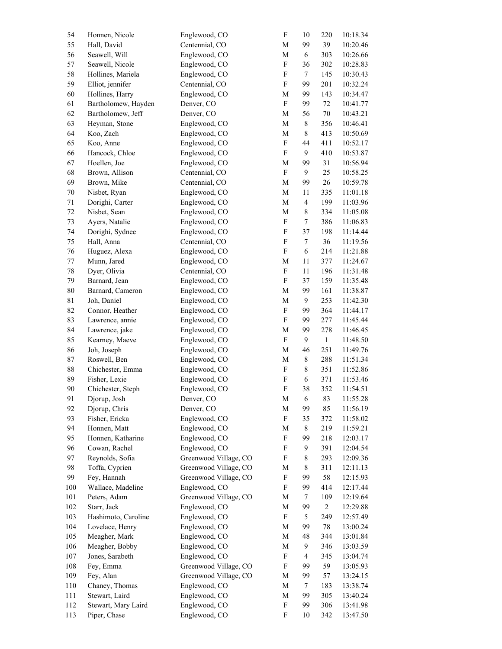| 54          | Honnen, Nicole      | Englewood, CO         | $\boldsymbol{\mathrm{F}}$ | $10\,$                   | 220            | 10:18.34 |
|-------------|---------------------|-----------------------|---------------------------|--------------------------|----------------|----------|
| 55          | Hall, David         | Centennial, CO        | $\mathbf M$               | 99                       | 39             | 10:20.46 |
| 56          | Seawell, Will       | Englewood, CO         | $\mathbf M$               | $\sqrt{6}$               | 303            | 10:26.66 |
| 57          | Seawell, Nicole     | Englewood, CO         | ${\bf F}$                 | 36                       | 302            | 10:28.83 |
| 58          | Hollines, Mariela   | Englewood, CO         | ${\bf F}$                 | $\tau$                   | 145            | 10:30.43 |
| 59          | Elliot, jennifer    | Centennial, CO        | ${\bf F}$                 | 99                       | 201            | 10:32.24 |
| 60          | Hollines, Harry     | Englewood, CO         | $\mathbf M$               | 99                       | 143            | 10:34.47 |
| 61          | Bartholomew, Hayden | Denver, CO            | ${\bf F}$                 | 99                       | $72\,$         | 10:41.77 |
| 62          | Bartholomew, Jeff   | Denver, CO            | $\mathbf M$               | 56                       | $70\,$         | 10:43.21 |
| 63          | Heyman, Stone       | Englewood, CO         | $\mathbf M$               | $\,$ $\,$                | 356            | 10:46.41 |
| 64          | Koo, Zach           | Englewood, CO         | $\mathbf M$               | $\,8\,$                  | 413            | 10:50.69 |
| 65          | Koo, Anne           | Englewood, CO         | ${\bf F}$                 | 44                       |                |          |
|             |                     |                       |                           | 9                        | 411            | 10:52.17 |
| 66          | Hancock, Chloe      | Englewood, CO         | ${\bf F}$                 |                          | 410            | 10:53.87 |
| 67          | Hoellen, Joe        | Englewood, CO         | $\mathbf M$               | 99                       | 31             | 10:56.94 |
| 68          | Brown, Allison      | Centennial, CO        | ${\bf F}$                 | 9                        | 25             | 10:58.25 |
| 69          | Brown, Mike         | Centennial, CO        | $\mathbf M$               | 99                       | 26             | 10:59.78 |
| $70\,$      | Nisbet, Ryan        | Englewood, CO         | $\mathbf M$               | 11                       | 335            | 11:01.18 |
| $71\,$      | Dorighi, Carter     | Englewood, CO         | $\mathbf M$               | $\overline{4}$           | 199            | 11:03.96 |
| $72\,$      | Nisbet, Sean        | Englewood, CO         | $\mathbf M$               | $\,8\,$                  | 334            | 11:05.08 |
| 73          | Ayers, Natalie      | Englewood, CO         | ${\bf F}$                 | $\boldsymbol{7}$         | 386            | 11:06.83 |
| 74          | Dorighi, Sydnee     | Englewood, CO         | ${\bf F}$                 | 37                       | 198            | 11:14.44 |
| 75          | Hall, Anna          | Centennial, CO        | ${\bf F}$                 | $\boldsymbol{7}$         | 36             | 11:19.56 |
| 76          | Huguez, Alexa       | Englewood, CO         | ${\bf F}$                 | $\sqrt{6}$               | 214            | 11:21.88 |
| $77 \,$     | Munn, Jared         | Englewood, CO         | $\mathbf M$               | $11\,$                   | 377            | 11:24.67 |
| $78\,$      | Dyer, Olivia        | Centennial, CO        | ${\bf F}$                 | 11                       | 196            | 11:31.48 |
| 79          | Barnard, Jean       | Englewood, CO         | ${\bf F}$                 | 37                       | 159            | 11:35.48 |
| $80\,$      | Barnard, Cameron    | Englewood, CO         | $\mathbf M$               | 99                       | 161            | 11:38.87 |
| $8\sqrt{1}$ | Joh, Daniel         | Englewood, CO         | $\mathbf M$               | $\mathbf{9}$             | 253            | 11:42.30 |
| 82          | Connor, Heather     | Englewood, CO         | ${\bf F}$                 | 99                       | 364            | 11:44.17 |
| 83          | Lawrence, annie     | Englewood, CO         | $\boldsymbol{\mathrm{F}}$ | 99                       | 277            | 11:45.44 |
| 84          | Lawrence, jake      | Englewood, CO         | $\mathbf M$               | 99                       | 278            | 11:46.45 |
|             |                     |                       | ${\bf F}$                 | 9                        | $\mathbf{1}$   |          |
| 85          | Kearney, Maeve      | Englewood, CO         |                           |                          |                | 11:48.50 |
| 86          | Joh, Joseph         | Englewood, CO         | $\mathbf M$               | 46                       | 251            | 11:49.76 |
| 87          | Roswell, Ben        | Englewood, CO         | $\mathbf M$               | $\,$ $\,$                | 288            | 11:51.34 |
| $88\,$      | Chichester, Emma    | Englewood, CO         | ${\bf F}$                 | $\,$ 8 $\,$              | 351            | 11:52.86 |
| 89          | Fisher, Lexie       | Englewood, CO         | $\boldsymbol{\mathrm{F}}$ | $\sqrt{6}$               | 371            | 11:53.46 |
| 90          | Chichester, Steph   | Englewood, CO         | ${\bf F}$                 | 38                       | 352            | 11:54.51 |
| 91          | Djorup, Josh        | Denver, CO            | M                         | 6                        | 83             | 11:55.28 |
| 92          | Djorup, Chris       | Denver, CO            | M                         | 99                       | 85             | 11:56.19 |
| 93          | Fisher, Ericka      | Englewood, CO         | $\boldsymbol{\mathrm{F}}$ | 35                       | 372            | 11:58.02 |
| 94          | Honnen, Matt        | Englewood, CO         | M                         | $\,$ 8 $\,$              | 219            | 11:59.21 |
| 95          | Honnen, Katharine   | Englewood, CO         | $\boldsymbol{\mathrm{F}}$ | 99                       | 218            | 12:03.17 |
| 96          | Cowan, Rachel       | Englewood, CO         | $\boldsymbol{\mathrm{F}}$ | 9                        | 391            | 12:04.54 |
| 97          | Reynolds, Sofia     | Greenwood Village, CO | ${\bf F}$                 | 8                        | 293            | 12:09.36 |
| 98          | Toffa, Cyprien      | Greenwood Village, CO | M                         | $\,$ $\,$                | 311            | 12:11.13 |
| 99          | Fey, Hannah         | Greenwood Village, CO | $\boldsymbol{\mathrm{F}}$ | 99                       | 58             | 12:15.93 |
| 100         | Wallace, Madeline   | Englewood, CO         | $\boldsymbol{\mathrm{F}}$ | 99                       | 414            | 12:17.44 |
| 101         | Peters, Adam        | Greenwood Village, CO | M                         | 7                        | 109            | 12:19.64 |
| 102         | Starr, Jack         | Englewood, CO         | M                         | 99                       | $\overline{c}$ | 12:29.88 |
| 103         | Hashimoto, Caroline | Englewood, CO         | $\boldsymbol{\mathrm{F}}$ | 5                        | 249            | 12:57.49 |
| 104         | Lovelace, Henry     | Englewood, CO         | M                         | 99                       | 78             | 13:00.24 |
| 105         | Meagher, Mark       | Englewood, CO         | M                         | 48                       | 344            |          |
| 106         | Meagher, Bobby      | Englewood, CO         | M                         | $\mathbf{9}$             | 346            | 13:01.84 |
|             |                     |                       |                           |                          |                | 13:03.59 |
| 107         | Jones, Sarabeth     | Englewood, CO         | ${\bf F}$                 | $\overline{\mathcal{L}}$ | 345            | 13:04.74 |
| 108         | Fey, Emma           | Greenwood Village, CO | $\boldsymbol{\mathrm{F}}$ | 99                       | 59             | 13:05.93 |
| 109         | Fey, Alan           | Greenwood Village, CO | M                         | 99                       | 57             | 13:24.15 |
| 110         | Chaney, Thomas      | Englewood, CO         | M                         | 7                        | 183            | 13:38.74 |
| 111         | Stewart, Laird      | Englewood, CO         | M                         | 99                       | 305            | 13:40.24 |
| 112         | Stewart, Mary Laird | Englewood, CO         | ${\bf F}$                 | 99                       | 306            | 13:41.98 |
| 113         | Piper, Chase        | Englewood, CO         | ${\bf F}$                 | 10                       | 342            | 13:47.50 |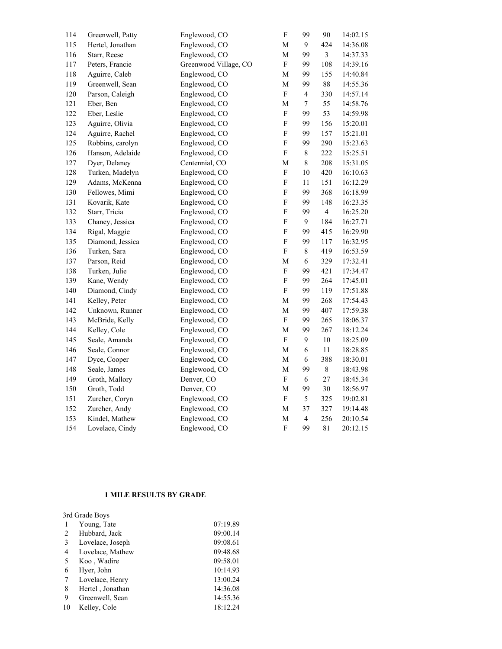| 114 | Greenwell, Patty | Englewood, CO         | ${\bf F}$                 | 99               | 90             | 14:02.15 |
|-----|------------------|-----------------------|---------------------------|------------------|----------------|----------|
| 115 | Hertel, Jonathan | Englewood, CO         | М                         | 9                | 424            | 14:36.08 |
| 116 | Starr, Reese     | Englewood, CO         | М                         | 99               | 3              | 14:37.33 |
| 117 | Peters, Francie  | Greenwood Village, CO | ${\bf F}$                 | 99               | 108            | 14:39.16 |
| 118 | Aguirre, Caleb   | Englewood, CO         | M                         | 99               | 155            | 14:40.84 |
| 119 | Greenwell, Sean  | Englewood, CO         | M                         | 99               | $88\,$         | 14:55.36 |
| 120 | Parson, Caleigh  | Englewood, CO         | ${\bf F}$                 | $\overline{4}$   | 330            | 14:57.14 |
| 121 | Eber, Ben        | Englewood, CO         | M                         | $\boldsymbol{7}$ | 55             | 14:58.76 |
| 122 | Eber, Leslie     | Englewood, CO         | ${\bf F}$                 | 99               | 53             | 14:59.98 |
| 123 | Aguirre, Olivia  | Englewood, CO         | ${\bf F}$                 | 99               | 156            | 15:20.01 |
| 124 | Aguirre, Rachel  | Englewood, CO         | ${\bf F}$                 | 99               | 157            | 15:21.01 |
| 125 | Robbins, carolyn | Englewood, CO         | ${\bf F}$                 | 99               | 290            | 15:23.63 |
| 126 | Hanson, Adelaide | Englewood, CO         | ${\bf F}$                 | $\,$ $\,$        | 222            | 15:25.51 |
| 127 | Dyer, Delaney    | Centennial, CO        | M                         | $\,$ $\,$        | 208            | 15:31.05 |
| 128 | Turken, Madelyn  | Englewood, CO         | ${\bf F}$                 | 10               | 420            | 16:10.63 |
| 129 | Adams, McKenna   | Englewood, CO         | ${\bf F}$                 | 11               | 151            | 16:12.29 |
| 130 | Fellowes, Mimi   | Englewood, CO         | ${\bf F}$                 | 99               | 368            | 16:18.99 |
| 131 | Kovarik, Kate    | Englewood, CO         | ${\bf F}$                 | 99               | 148            | 16:23.35 |
| 132 | Starr, Tricia    | Englewood, CO         | F                         | 99               | $\overline{4}$ | 16:25.20 |
| 133 | Chaney, Jessica  | Englewood, CO         | ${\bf F}$                 | 9                | 184            | 16:27.71 |
| 134 | Rigal, Maggie    | Englewood, CO         | ${\bf F}$                 | 99               | 415            | 16:29.90 |
| 135 | Diamond, Jessica | Englewood, CO         | ${\bf F}$                 | 99               | 117            | 16:32.95 |
| 136 | Turken, Sara     | Englewood, CO         | ${\bf F}$                 | $\,$ $\,$        | 419            | 16:53.59 |
| 137 | Parson, Reid     | Englewood, CO         | M                         | $\sqrt{6}$       | 329            | 17:32.41 |
| 138 | Turken, Julie    | Englewood, CO         | $\boldsymbol{\mathrm{F}}$ | 99               | 421            | 17:34.47 |
| 139 | Kane, Wendy      | Englewood, CO         | ${\bf F}$                 | 99               | 264            | 17:45.01 |
| 140 | Diamond, Cindy   | Englewood, CO         | ${\bf F}$                 | 99               | 119            | 17:51.88 |
| 141 | Kelley, Peter    | Englewood, CO         | M                         | 99               | 268            | 17:54.43 |
| 142 | Unknown, Runner  | Englewood, CO         | ${\bf M}$                 | 99               | 407            | 17:59.38 |
| 143 | McBride, Kelly   | Englewood, CO         | ${\bf F}$                 | 99               | 265            | 18:06.37 |
| 144 | Kelley, Cole     | Englewood, CO         | M                         | 99               | 267            | 18:12.24 |
| 145 | Seale, Amanda    | Englewood, CO         | ${\bf F}$                 | $\mathbf{9}$     | $10\,$         | 18:25.09 |
| 146 | Seale, Connor    | Englewood, CO         | ${\bf M}$                 | $\sqrt{6}$       | 11             | 18:28.85 |
| 147 | Dyce, Cooper     | Englewood, CO         | ${\bf M}$                 | $\sqrt{6}$       | 388            | 18:30.01 |
| 148 | Seale, James     | Englewood, CO         | M                         | 99               | $\,$ $\,$      | 18:43.98 |
| 149 | Groth, Mallory   | Denver, CO            | $\boldsymbol{\mathrm{F}}$ | 6                | $27\,$         | 18:45.34 |
| 150 | Groth, Todd      | Denver, CO            | M                         | 99               | 30             | 18:56.97 |
| 151 | Zurcher, Coryn   | Englewood, CO         | ${\bf F}$                 | 5                | 325            | 19:02.81 |
| 152 | Zurcher, Andy    | Englewood, CO         | ${\bf M}$                 | 37               | 327            | 19:14.48 |
| 153 | Kindel, Mathew   | Englewood, CO         | M                         | $\overline{4}$   | 256            | 20:10.54 |
| 154 | Lovelace, Cindy  | Englewood, CO         | ${\bf F}$                 | 99               | 81             | 20:12.15 |
|     |                  |                       |                           |                  |                |          |

## **1 MILE RESULTS BY GRADE**

|    | 3rd Grade Boys   |          |
|----|------------------|----------|
| 1  | Young, Tate      | 07:19.89 |
| 2  | Hubbard, Jack    | 09:00.14 |
| 3  | Lovelace, Joseph | 09:08.61 |
| 4  | Lovelace, Mathew | 09:48.68 |
| 5  | Koo, Wadire      | 09:58.01 |
| 6  | Hyer, John       | 10:14.93 |
| 7  | Lovelace, Henry  | 13:00.24 |
| 8  | Hertel, Jonathan | 14:36.08 |
| 9  | Greenwell, Sean  | 14:55.36 |
| 10 | Kelley, Cole     | 18:12.24 |